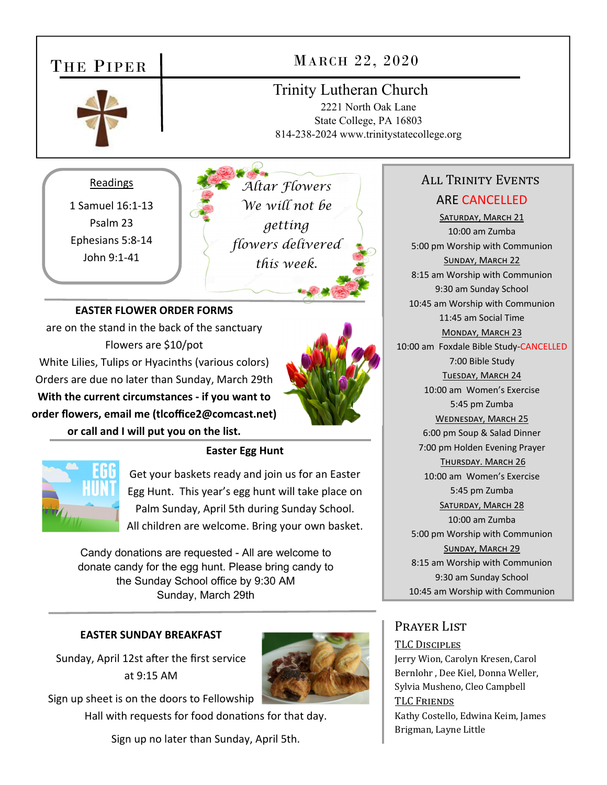



Get your baskets ready and join us for an Easter Egg Hunt. This year's egg hunt will take place on Palm Sunday, April 5th during Sunday School.

All children are welcome. Bring your own basket.

Candy donations are requested - All are welcome to donate candy for the egg hunt. Please bring candy to the Sunday School office by 9:30 AM Sunday, March 29th

#### **EASTER SUNDAY BREAKFAST**

Sunday, April 12st after the first service at 9:15 AM



Sign up sheet is on the doors to Fellowship

Hall with requests for food donations for that day.

Sign up no later than Sunday, April 5th.

# 7:00 pm Holden Evening Prayer THURSDAY. MARCH 26 10:00 am Women's Exercise 5:45 pm Zumba SATURDAY, MARCH 28 10:00 am Zumba 5:00 pm Worship with Communion SUNDAY, MARCH 29 8:15 am Worship with Communion 9:30 am Sunday School 10:45 am Worship with Communion

### Prayer List

TLC DISCIPLES

Jerry Wion, Carolyn Kresen, Carol Bernlohr , Dee Kiel, Donna Weller, Sylvia Musheno, Cleo Campbell TLC FRIENDS Kathy Costello, Edwina Keim, James Brigman, Layne Little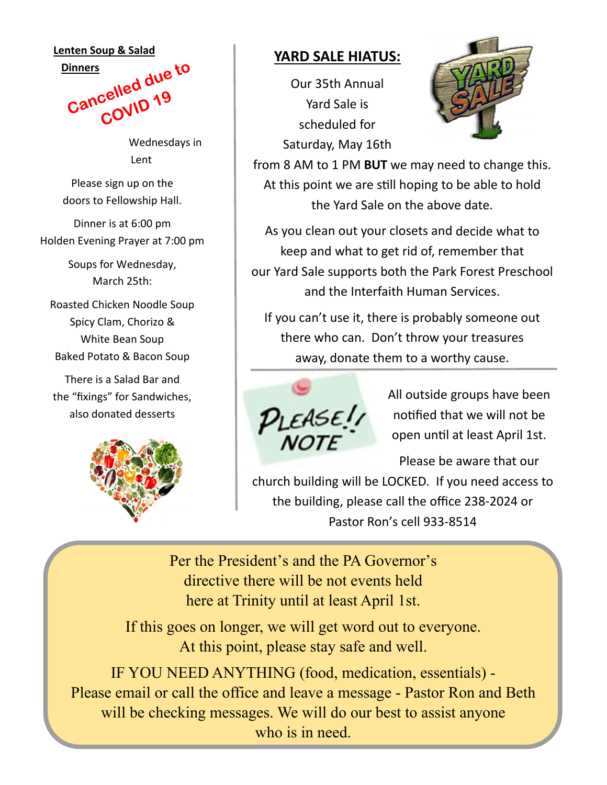#### **Lenten Soup & Salad**



Wednesdays in Lent

Please sign up on the doors to Fellowship Hall.

Dinner is at 6:00 pm Holden Evening Prayer at 7:00 pm

> Soups for Wednesday, March 25th:

Roasted Chicken Noodle Soup Spicy Clam, Chorizo & White Bean Soup Baked Potato & Bacon Soup

There is a Salad Bar and the "fixings" for Sandwiches, also donated desserts



### **YARD SALE HIATUS:**

Our 35th Annual Yard Sale is scheduled for Saturday, May 16th



from 8 AM to 1 PM **BUT** we may need to change this. At this point we are still hoping to be able to hold the Yard Sale on the above date.

As you clean out your closets and decide what to keep and what to get rid of, remember that our Yard Sale supports both the Park Forest Preschool and the Interfaith Human Services.

If you can't use it, there is probably someone out there who can. Don't throw your treasures away, donate them to a worthy cause.



All outside groups have been notified that we will not be open unƟl at least April 1st.

Please be aware that our

church building will be LOCKED. If you need access to the building, please call the office 238‐2024 or Pastor Ron's cell 933‐8514

Per the President's and the PA Governor's directive there will be not events held here at Trinity until at least April 1st.

If this goes on longer, we will get word out to everyone. At this point, please stay safe and well.

IF YOU NEED ANYTHING (food, medication, essentials) - Please email or call the office and leave a message - Pastor Ron and Beth will be checking messages. We will do our best to assist anyone who is in need.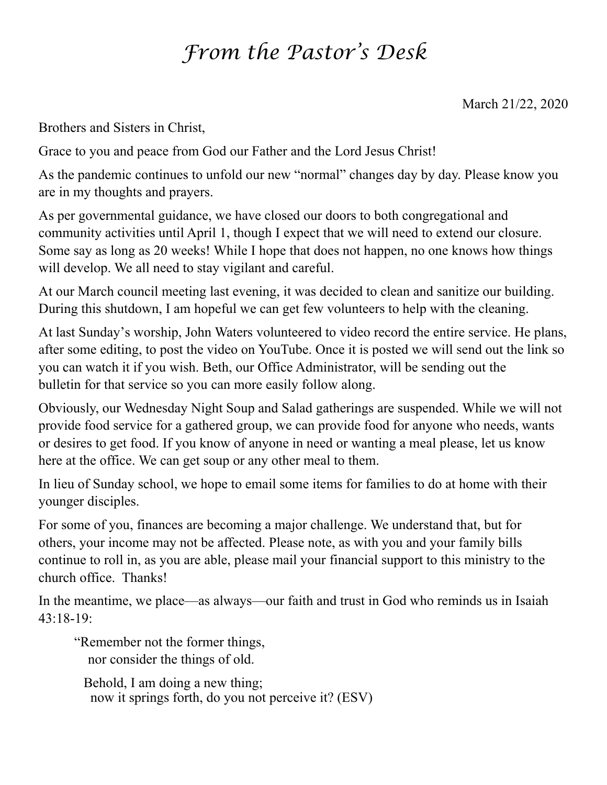## *From the Pastor's Desk*

March 21/22, 2020

Brothers and Sisters in Christ,

Grace to you and peace from God our Father and the Lord Jesus Christ!

As the pandemic continues to unfold our new "normal" changes day by day. Please know you are in my thoughts and prayers.

As per governmental guidance, we have closed our doors to both congregational and community activities until April 1, though I expect that we will need to extend our closure. Some say as long as 20 weeks! While I hope that does not happen, no one knows how things will develop. We all need to stay vigilant and careful.

At our March council meeting last evening, it was decided to clean and sanitize our building. During this shutdown, I am hopeful we can get few volunteers to help with the cleaning.

At last Sunday's worship, John Waters volunteered to video record the entire service. He plans, after some editing, to post the video on YouTube. Once it is posted we will send out the link so you can watch it if you wish. Beth, our Office Administrator, will be sending out the bulletin for that service so you can more easily follow along.

Obviously, our Wednesday Night Soup and Salad gatherings are suspended. While we will not provide food service for a gathered group, we can provide food for anyone who needs, wants or desires to get food. If you know of anyone in need or wanting a meal please, let us know here at the office. We can get soup or any other meal to them.

In lieu of Sunday school, we hope to email some items for families to do at home with their younger disciples.

For some of you, finances are becoming a major challenge. We understand that, but for others, your income may not be affected. Please note, as with you and your family bills continue to roll in, as you are able, please mail your financial support to this ministry to the church office. Thanks!

In the meantime, we place—as always—our faith and trust in God who reminds us in Isaiah 43:18-19:

"Remember not the former things, nor consider the things of old.

 Behold, I am doing a new thing; now it springs forth, do you not perceive it? (ESV)